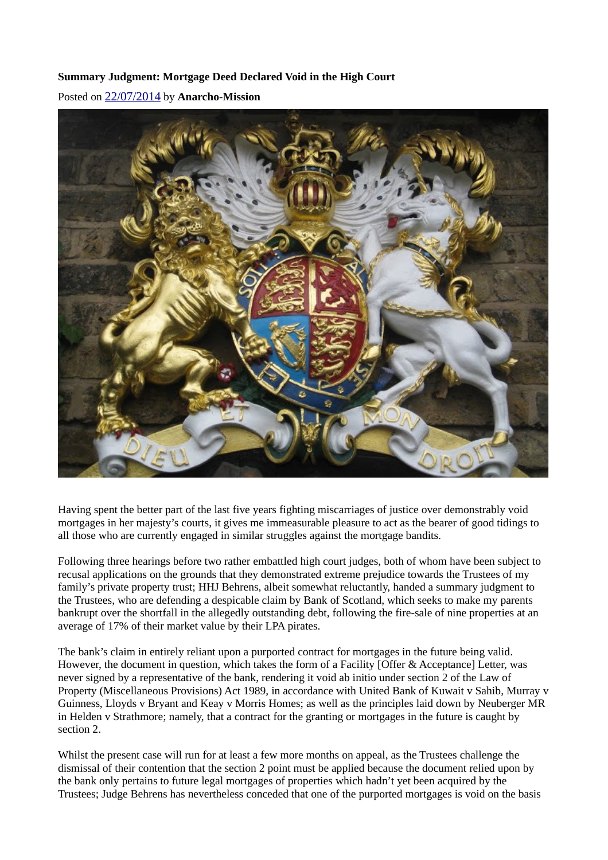## **Summary Judgment: Mortgage Deed Declared Void in the High Court**

Posted on [22/07/2014](https://self-realisation.com/equity/banksterbusters/summary-judgment-mortgage-deed-declared-void-in-the-high-court/) by **[Anarcho-Mission](https://self-realisation.com/author/mob/)**



Having spent the better part of the last five years fighting miscarriages of justice over demonstrably void mortgages in her majesty's courts, it gives me immeasurable pleasure to act as the bearer of good tidings to all those who are currently engaged in similar struggles against the mortgage bandits.

Following three hearings before two rather embattled high court judges, both of whom have been subject to recusal applications on the grounds that they demonstrated extreme prejudice towards the Trustees of my family's private property trust; HHJ Behrens, albeit somewhat reluctantly, handed a summary judgment to the Trustees, who are defending a despicable claim by Bank of Scotland, which seeks to make my parents bankrupt over the shortfall in the allegedly outstanding debt, following the fire-sale of nine properties at an average of 17% of their market value by their LPA pirates.

The bank's claim in entirely reliant upon a purported contract for mortgages in the future being valid. However, the document in question, which takes the form of a Facility [Offer & Acceptance] Letter, was never signed by a representative of the bank, rendering it void ab initio under section 2 of the Law of Property (Miscellaneous Provisions) Act 1989, in accordance with United Bank of Kuwait v Sahib, Murray v Guinness, Lloyds v Bryant and Keay v Morris Homes; as well as the principles laid down by Neuberger MR in Helden v Strathmore; namely, that a contract for the granting or mortgages in the future is caught by section 2.

Whilst the present case will run for at least a few more months on appeal, as the Trustees challenge the dismissal of their contention that the section 2 point must be applied because the document relied upon by the bank only pertains to future legal mortgages of properties which hadn't yet been acquired by the Trustees; Judge Behrens has nevertheless conceded that one of the purported mortgages is void on the basis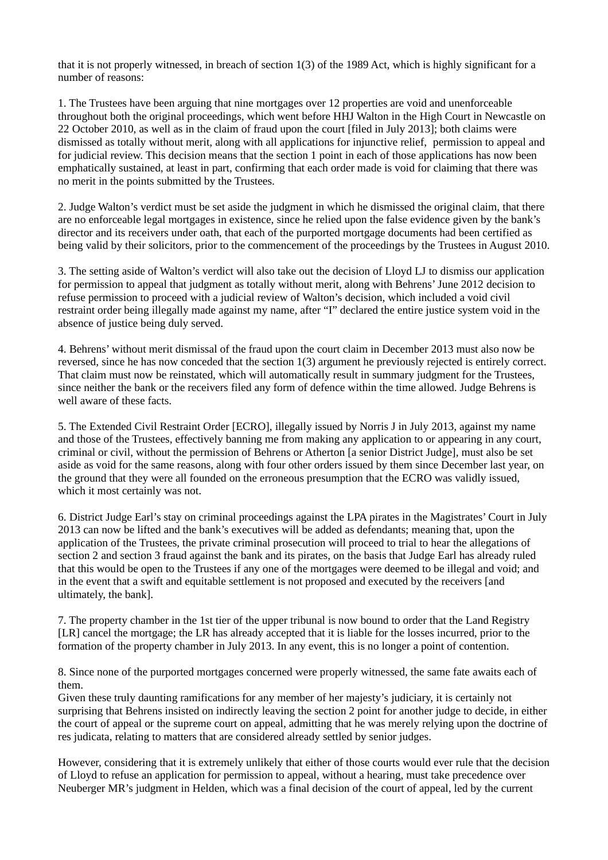that it is not properly witnessed, in breach of section 1(3) of the 1989 Act, which is highly significant for a number of reasons:

1. The Trustees have been arguing that nine mortgages over 12 properties are void and unenforceable throughout both the original proceedings, which went before HHJ Walton in the High Court in Newcastle on 22 October 2010, as well as in the claim of fraud upon the court [filed in July 2013]; both claims were dismissed as totally without merit, along with all applications for injunctive relief, permission to appeal and for judicial review. This decision means that the section 1 point in each of those applications has now been emphatically sustained, at least in part, confirming that each order made is void for claiming that there was no merit in the points submitted by the Trustees.

2. Judge Walton's verdict must be set aside the judgment in which he dismissed the original claim, that there are no enforceable legal mortgages in existence, since he relied upon the false evidence given by the bank's director and its receivers under oath, that each of the purported mortgage documents had been certified as being valid by their solicitors, prior to the commencement of the proceedings by the Trustees in August 2010.

3. The setting aside of Walton's verdict will also take out the decision of Lloyd LJ to dismiss our application for permission to appeal that judgment as totally without merit, along with Behrens' June 2012 decision to refuse permission to proceed with a judicial review of Walton's decision, which included a void civil restraint order being illegally made against my name, after "I" declared the entire justice system void in the absence of justice being duly served.

4. Behrens' without merit dismissal of the fraud upon the court claim in December 2013 must also now be reversed, since he has now conceded that the section 1(3) argument he previously rejected is entirely correct. That claim must now be reinstated, which will automatically result in summary judgment for the Trustees, since neither the bank or the receivers filed any form of defence within the time allowed. Judge Behrens is well aware of these facts.

5. The Extended Civil Restraint Order [ECRO], illegally issued by Norris J in July 2013, against my name and those of the Trustees, effectively banning me from making any application to or appearing in any court, criminal or civil, without the permission of Behrens or Atherton [a senior District Judge], must also be set aside as void for the same reasons, along with four other orders issued by them since December last year, on the ground that they were all founded on the erroneous presumption that the ECRO was validly issued, which it most certainly was not.

6. District Judge Earl's stay on criminal proceedings against the LPA pirates in the Magistrates' Court in July 2013 can now be lifted and the bank's executives will be added as defendants; meaning that, upon the application of the Trustees, the private criminal prosecution will proceed to trial to hear the allegations of section 2 and section 3 fraud against the bank and its pirates, on the basis that Judge Earl has already ruled that this would be open to the Trustees if any one of the mortgages were deemed to be illegal and void; and in the event that a swift and equitable settlement is not proposed and executed by the receivers [and ultimately, the bank].

7. The property chamber in the 1st tier of the upper tribunal is now bound to order that the Land Registry [LR] cancel the mortgage; the LR has already accepted that it is liable for the losses incurred, prior to the formation of the property chamber in July 2013. In any event, this is no longer a point of contention.

8. Since none of the purported mortgages concerned were properly witnessed, the same fate awaits each of them.

Given these truly daunting ramifications for any member of her majesty's judiciary, it is certainly not surprising that Behrens insisted on indirectly leaving the section 2 point for another judge to decide, in either the court of appeal or the supreme court on appeal, admitting that he was merely relying upon the doctrine of res judicata, relating to matters that are considered already settled by senior judges.

However, considering that it is extremely unlikely that either of those courts would ever rule that the decision of Lloyd to refuse an application for permission to appeal, without a hearing, must take precedence over Neuberger MR's judgment in Helden, which was a final decision of the court of appeal, led by the current